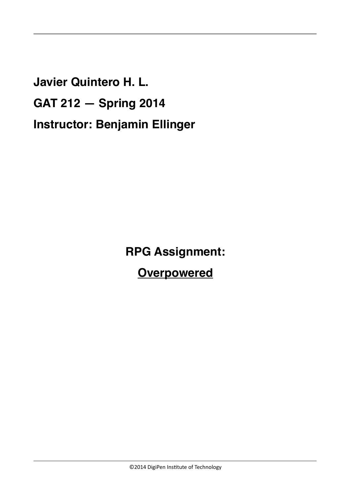**Javier Quintero H. L. GAT 212 — Spring 2014 Instructor: Benjamin Ellinger**

**RPG Assignment:**

**Overpowered**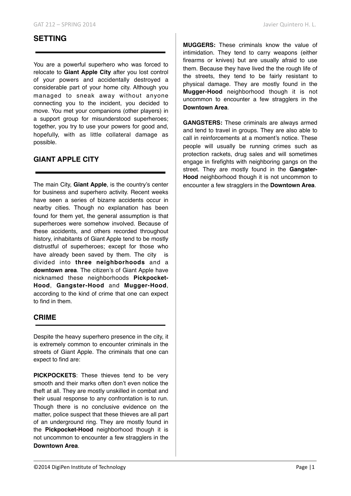## **SETTING**

You are a powerful superhero who was forced to relocate to **Giant Apple City** after you lost control of your powers and accidentally destroyed a considerable part of your home city. Although you managed to sneak away without anyone connecting you to the incident, you decided to move. You met your companions (other players) in a support group for misunderstood superheroes; together, you try to use your powers for good and, hopefully, with as little collateral damage as possible.

## **GIANT APPLE CITY**

The main City, **Giant Apple**, is the country's center for business and superhero activity. Recent weeks have seen a series of bizarre accidents occur in nearby cities. Though no explanation has been found for them yet, the general assumption is that superheroes were somehow involved. Because of these accidents, and others recorded throughout history, inhabitants of Giant Apple tend to be mostly distrustful of superheroes; except for those who have already been saved by them. The city is divided into **three neighborhoods** and a **downtown area**. The citizen's of Giant Apple have nicknamed these neighborhoods **Pickpocket-Hood**, **Gangster-Hood** and **Mugger-Hood**, according to the kind of crime that one can expect to find in them.

#### **CRIME**

Despite the heavy superhero presence in the city, it is extremely common to encounter criminals in the streets of Giant Apple. The criminals that one can expect to find are:

**PICKPOCKETS**: These thieves tend to be very smooth and their marks often don't even notice the theft at all. They are mostly unskilled in combat and their usual response to any confrontation is to run. Though there is no conclusive evidence on the matter, police suspect that these thieves are all part of an underground ring. They are mostly found in the **Pickpocket-Hood** neighborhood though it is not uncommon to encounter a few stragglers in the **Downtown Area**.

**MUGGERS:** These criminals know the value of intimidation. They tend to carry weapons (either firearms or knives) but are usually afraid to use them. Because they have lived the the rough life of the streets, they tend to be fairly resistant to physical damage. They are mostly found in the **Mugger-Hood** neighborhood though it is not uncommon to encounter a few stragglers in the **Downtown Area**.

**GANGSTERS:** These criminals are always armed and tend to travel in groups. They are also able to call in reinforcements at a moment's notice. These people will usually be running crimes such as protection rackets, drug sales and will sometimes engage in firefights with neighboring gangs on the street. They are mostly found in the **Gangster-Hood** neighborhood though it is not uncommon to encounter a few stragglers in the **Downtown Area**.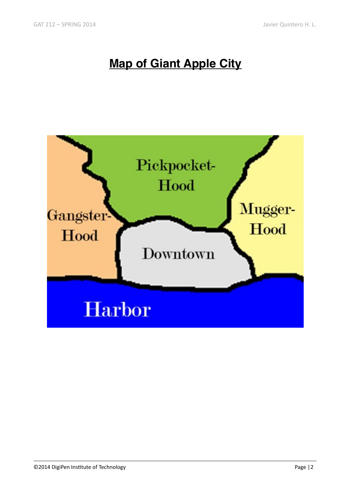# **Map of Giant Apple City**

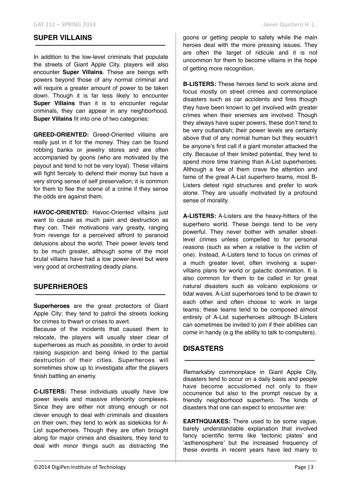#### **SUPER VILLAINS**

In addition to the low-level criminals that populate the streets of Giant Apple City, players will also encounter **Super Villains**. These are beings with powers beyond those of any normal criminal and will require a greater amount of power to be taken down. Though it is far less likely to encounter **Super Villains** than it is to encounter regular criminals, they can appear in any neighborhood. **Super Villains** fit into one of two categories:

**GREED-ORIENTED:** Greed-Oriented villains are really just in it for the money. They can be found robbing banks or jewelry stores and are often accompanied by goons (who are motivated by the payout and tend to not be very loyal). These villains will fight fiercely to defend their money but have a very strong sense of self preservation; it is common for them to flee the scene of a crime if they sense the odds are against them.

HAVOC-ORIENTED: Havoc-Oriented villains iust want to cause as much pain and destruction as they can. Their motivations vary greatly, ranging from revenge for a perceived affront to paranoid delusions about the world. Their power levels tend to be much greater, although some of the most brutal villains have had a low power-level but were very good at orchestrating deadly plans.

#### **SUPERHEROES**

**Superheroes** are the great protectors of Giant Apple City; they tend to patrol the streets looking for crimes to thwart or crises to avert.

Because of the incidents that caused them to relocate, the players will usually steer clear of superheroes as much as possible, in order to avoid raising suspicion and being linked to the partial destruction of their cities. Superheroes will sometimes show up to investigate after the players finish battling an enemy.

**C-LISTERS:** These individuals usually have low power levels and massive inferiority complexes. Since they are either not strong enough or not clever enough to deal with criminals and disasters on their own, they tend to work as sidekicks for A-List superheroes. Though they are often brought along for major crimes and disasters, they tend to deal with minor things such as distracting the goons or getting people to safety while the main heroes deal with the more pressing issues. They are often the target of ridicule and it is not uncommon for them to become villains in the hope of getting more recognition.

**B-LISTERS:** These heroes tend to work alone and focus mostly on street crimes and commonplace disasters such as car accidents and fires though they have been known to get involved with greater crimes when their enemies are involved. Though they always have super powers, these don't tend to be very outlandish; their power levels are certainly above that of any normal human but they wouldn't be anyone's first call if a giant monster attacked the city. Because of their limited potential, they tend to spend more time training than A-List superheroes. Although a few of them crave the attention and fame of the great A-List superhero teams, most B-Listers detest rigid structures and prefer to work alone. They are usually motivated by a profound sense of morality.

**A-LISTERS:** A-Listers are the heavy-hitters of the superhero world. These beings tend to be very powerful. They never bother with smaller streetlevel crimes unless compelled to for personal reasons (such as when a relative is the victim of one). Instead, A-Listers tend to focus on crimes of a much greater level, often involving a supervillains plans for world or galactic domination. It is also common for them to be called in for great natural disasters such as volcano explosions or tidal waves. A-List superheroes tend to be drawn to each other and often choose to work in large teams; these teams tend to be composed almost entirely of A-List superheroes although B-Listers can sometimes be invited to join if their abilities can come in handy (e.g the ability to talk to computers).

## **DISASTERS**

Remarkably commonplace in Giant Apple City, disasters tend to occur on a daily basis and people have become accustomed not only to their occurrence but also to the prompt rescue by a friendly neighborhood superhero. The kinds of disasters that one can expect to encounter are:

**EARTHQUAKES:** There used to be some vague, barely understandable explanation that involved fancy scientific terms like 'tectonic plates' and 'asthenosphere' but the increased frequency of these events in recent years have led many to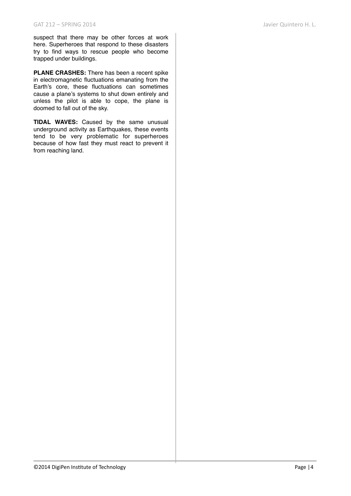suspect that there may be other forces at work here. Superheroes that respond to these disasters try to find ways to rescue people who become trapped under buildings.

**PLANE CRASHES:** There has been a recent spike in electromagnetic fluctuations emanating from the Earth's core, these fluctuations can sometimes cause a plane's systems to shut down entirely and unless the pilot is able to cope, the plane is doomed to fall out of the sky.

**TIDAL WAVES:** Caused by the same unusual underground activity as Earthquakes, these events tend to be very problematic for superheroes because of how fast they must react to prevent it from reaching land.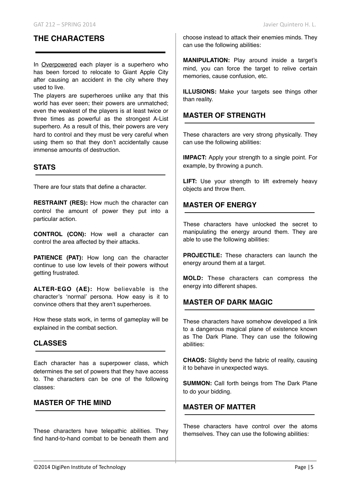## **THE CHARACTERS**

In Overpowered each player is a superhero who has been forced to relocate to Giant Apple City after causing an accident in the city where they used to live.

The players are superheroes unlike any that this world has ever seen; their powers are unmatched; even the weakest of the players is at least twice or three times as powerful as the strongest A-List superhero. As a result of this, their powers are very hard to control and they must be very careful when using them so that they don't accidentally cause immense amounts of destruction.

#### **STATS**

There are four stats that define a character.

**RESTRAINT (RES):** How much the character can control the amount of power they put into a particular action.

**CONTROL (CON):** How well a character can control the area affected by their attacks.

**PATIENCE (PAT):** How long can the character continue to use low levels of their powers without getting frustrated.

**ALTER-EGO (AE):** How believable is the character's 'normal' persona. How easy is it to convince others that they aren't superheroes.

How these stats work, in terms of gameplay will be explained in the combat section.

#### **CLASSES**

Each character has a superpower class, which determines the set of powers that they have access to. The characters can be one of the following classes:

## **MASTER OF THE MIND**

These characters have telepathic abilities. They find hand-to-hand combat to be beneath them and choose instead to attack their enemies minds. They can use the following abilities:

**MANIPULATION:** Play around inside a target's mind, you can force the target to relive certain memories, cause confusion, etc.

**ILLUSIONS:** Make your targets see things other than reality.

#### **MASTER OF STRENGTH**

These characters are very strong physically. They can use the following abilities:

**IMPACT:** Apply your strength to a single point. For example, by throwing a punch.

LIFT: Use your strength to lift extremely heavy objects and throw them.

#### **MASTER OF ENERGY**

These characters have unlocked the secret to manipulating the energy around them. They are able to use the following abilities:

**PROJECTILE:** These characters can launch the energy around them at a target.

**MOLD:** These characters can compress the energy into different shapes.

#### **MASTER OF DARK MAGIC**

These characters have somehow developed a link to a dangerous magical plane of existence known as The Dark Plane. They can use the following abilities:

**CHAOS:** Slightly bend the fabric of reality, causing it to behave in unexpected ways.

**SUMMON:** Call forth beings from The Dark Plane to do your bidding.

#### **MASTER OF MATTER**

These characters have control over the atoms themselves. They can use the following abilities: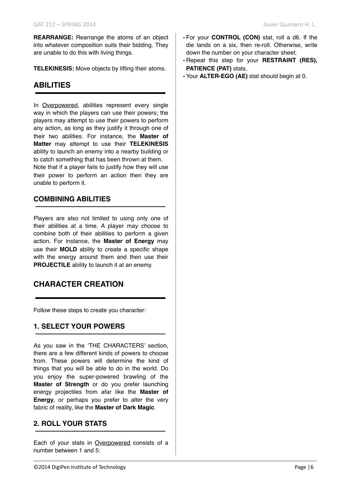**REARRANGE:** Rearrange the atoms of an object into whatever composition suits their bidding. They are unable to do this with living things.

**TELEKINESIS:** Move objects by lifting their atoms.

## **ABILITIES**

In Overpowered, abilities represent every single way in which the players can use their powers; the players may attempt to use their powers to perform any action, as long as they justify it through one of their two abilities. For instance, the **Master of Matter** may attempt to use their **TELEKINESIS**  ability to launch an enemy into a nearby building or to catch something that has been thrown at them. Note that if a player fails to justify how they will use their power to perform an action then they are unable to perform it.

#### **COMBINING ABILITIES**

Players are also not limited to using only one of their abilities at a time. A player may choose to combine both of their abilities to perform a given action. For instance, the **Master of Energy** may use their **MOLD** ability to create a specific shape with the energy around them and then use their **PROJECTILE** ability to launch it at an enemy.

## **CHARACTER CREATION**

Follow these steps to create you character:

## **1. SELECT YOUR POWERS**

As you saw in the 'THE CHARACTERS' section, there are a few different kinds of powers to choose from. These powers will determine the kind of things that you will be able to do in the world. Do you enjoy the super-powered brawling of the **Master of Strength** or do you prefer launching energy projectiles from afar like the **Master of Energy**, or perhaps you prefer to alter the very fabric of reality, like the **Master of Dark Magic**.

#### **2. ROLL YOUR STATS**

Each of your stats in Overpowered consists of a number between 1 and 5:

- 
- **-** For your **CONTROL (CON)** stat, roll a d6. If the die lands on a six, then re-roll. Otherwise, write down the number on your character sheet.
- **-** Repeat this step for your **RESTRAINT (RES), PATIENCE (PAT)** stats.
- **-** Your **ALTER-EGO (AE)** stat should begin at 0.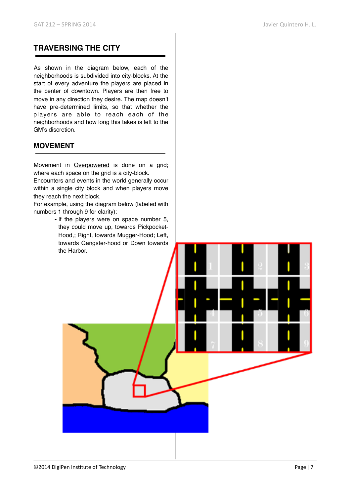## **TRAVERSING THE CITY**

As shown in the diagram below, each of the neighborhoods is subdivided into city-blocks. At the start of every adventure the players are placed in the center of downtown. Players are then free to move in any direction they desire. The map doesn't have pre-determined limits, so that whether the players are able to reach each of the neighborhoods and how long this takes is left to the GM's discretion.

## **MOVEMENT**

Movement in Overpowered is done on a grid; where each space on the grid is a city-block.

Encounters and events in the world generally occur within a single city block and when players move they reach the next block.

For example, using the diagram below (labeled with numbers 1 through 9 for clarity):

> **-** If the players were on space number 5, they could move up, towards Pickpocket-Hood,; Right, towards Mugger-Hood; Left, towards Gangster-hood or Down towards the Harbor.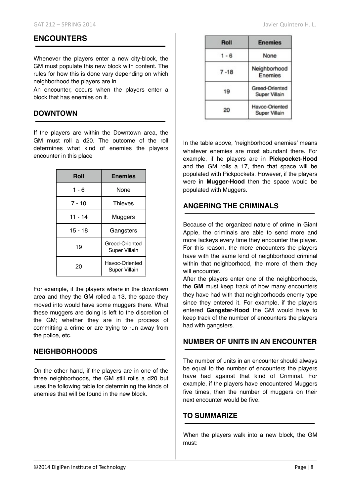#### **ENCOUNTERS**

Whenever the players enter a new city-block, the GM must populate this new block with content. The rules for how this is done vary depending on which neighborhood the players are in.

An encounter, occurs when the players enter a block that has enemies on it.

#### **DOWNTOWN**

If the players are within the Downtown area, the GM must roll a d20. The outcome of the roll determines what kind of enemies the players encounter in this place

| Roll      | <b>Enemies</b>                         |
|-----------|----------------------------------------|
| $1 - 6$   | None                                   |
| $7 - 10$  | <b>Thieves</b>                         |
| $11 - 14$ | Muggers                                |
| $15 - 18$ | Gangsters                              |
| 19        | Greed-Oriented<br><b>Super Villain</b> |
| 20        | Havoc-Oriented<br><b>Super Villain</b> |

For example, if the players where in the downtown area and they the GM rolled a 13, the space they moved into would have some muggers there. What these muggers are doing is left to the discretion of the GM; whether they are in the process of committing a crime or are trying to run away from the police, etc.

#### **NEIGHBORHOODS**

On the other hand, if the players are in one of the three neighborhoods, the GM still rolls a d20 but uses the following table for determining the kinds of enemies that will be found in the new block.

| Roll     | <b>Enemies</b>                  |
|----------|---------------------------------|
| $1 - 6$  | None                            |
| $7 - 18$ | Neighborhood<br>Enemies         |
| 19       | Greed-Oriented<br>Super Villain |
| 20       | Havoc-Oriented<br>Super Villain |

In the table above, 'neighborhood enemies' means whatever enemies are most abundant there. For example, if he players are in **Pickpocket-Hood** and the GM rolls a 17, then that space will be populated with Pickpockets. However, if the players were in **Mugger-Hood** then the space would be populated with Muggers.

#### **ANGERING THE CRIMINALS**

Because of the organized nature of crime in Giant Apple, the criminals are able to send more and more lackeys every time they encounter the player. For this reason, the more encounters the players have with the same kind of neighborhood criminal within that neighborhood, the more of them they will encounter.

After the players enter one of the neighborhoods, the **GM** must keep track of how many encounters they have had with that neighborhoods enemy type since they entered it. For example, if the players entered **Gangster-Hood** the GM would have to keep track of the number of encounters the players had with gangsters.

#### **NUMBER OF UNITS IN AN ENCOUNTER**

The number of units in an encounter should always be equal to the number of encounters the players have had against that kind of Criminal. For example, if the players have encountered Muggers five times, then the number of muggers on their next encounter would be five.

#### **TO SUMMARIZE**

When the players walk into a new block, the GM must: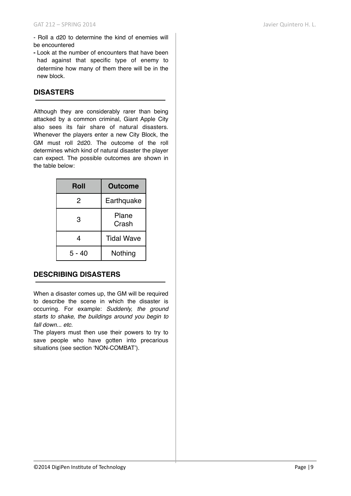- Roll a d20 to determine the kind of enemies will be encountered

**-** Look at the number of encounters that have been had against that specific type of enemy to determine how many of them there will be in the new block.

#### **DISASTERS**

Although they are considerably rarer than being attacked by a common criminal, Giant Apple City also sees its fair share of natural disasters. Whenever the players enter a new City Block, the GM must roll 2d20. The outcome of the roll determines which kind of natural disaster the player can expect. The possible outcomes are shown in the table below:

| Roll   | <b>Outcome</b>    |
|--------|-------------------|
| 2      | Earthquake        |
| 3      | Plane<br>Crash    |
| 4      | <b>Tidal Wave</b> |
| 5 - 40 | Nothing           |

## **DESCRIBING DISASTERS**

When a disaster comes up, the GM will be required to describe the scene in which the disaster is occurring. For example: *Suddenly, the ground starts to shake, the buildings around you begin to fall down... etc.* 

The players must then use their powers to try to save people who have gotten into precarious situations (see section 'NON-COMBAT').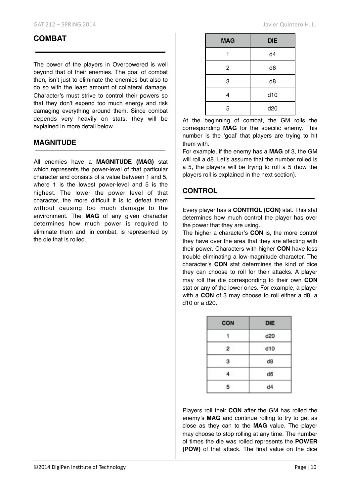## **COMBAT**

The power of the players in Overpowered is well beyond that of their enemies. The goal of combat then, isn't just to eliminate the enemies but also to do so with the least amount of collateral damage. Character's must strive to control their powers so that they don't expend too much energy and risk damaging everything around them. Since combat depends very heavily on stats, they will be explained in more detail below.

#### **MAGNITUDE**

All enemies have a **MAGNITUDE (MAG)** stat which represents the power-level of that particular character and consists of a value between 1 and 5, where 1 is the lowest power-level and 5 is the highest. The lower the power level of that character, the more difficult it is to defeat them without causing too much damage to the environment. The **MAG** of any given character determines how much power is required to eliminate them and, in combat, is represented by the die that is rolled.

| <b>MAG</b> | <b>DIE</b>     |
|------------|----------------|
|            | d4             |
| 2          | d <sub>6</sub> |
| 3          | d <sub>8</sub> |
| 4          | d10            |
| 5          | d20            |

At the beginning of combat, the GM rolls the corresponding **MAG** for the specific enemy. This number is the 'goal' that players are trying to hit them with.

For example, if the enemy has a **MAG** of 3, the GM will roll a d8. Let's assume that the number rolled is a 5, the players will be trying to roll a 5 (how the players roll is explained in the next section).

## **CONTROL**

Every player has a **CONTROL (CON)** stat. This stat determines how much control the player has over the power that they are using.

The higher a character's **CON** is, the more control they have over the area that they are affecting with their power. Characters with higher **CON** have less trouble eliminating a low-magnitude character. The character's **CON** stat determines the kind of dice they can choose to roll for their attacks. A player may roll the die corresponding to their own **CON**  stat or any of the lower ones. For example, a player with a **CON** of 3 may choose to roll either a d8, a d10 or a d20.

| <b>CON</b> | <b>DIE</b> |
|------------|------------|
|            | d20        |
| 2          | d10        |
| 3          | d8         |
|            | d6         |
| 5          | d4         |

Players roll their **CON** after the GM has rolled the enemy's **MAG** and continue rolling to try to get as close as they can to the **MAG** value. The player may choose to stop rolling at any time. The number of times the die was rolled represents the **POWER (POW)** of that attack. The final value on the dice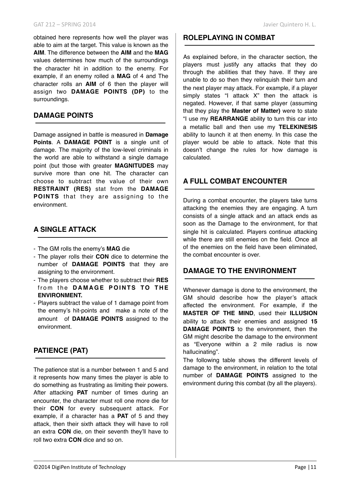## **DAMAGE POINTS**

surroundings.

Damage assigned in battle is measured in **Damage Points**. A **DAMAGE POINT** is a single unit of damage. The majority of the low-level criminals in the world are able to withstand a single damage point (but those with greater **MAGNITUDES** may survive more than one hit. The character can choose to subtract the value of their own **RESTRAINT (RES)** stat from the **DAMAGE POINTS** that they are assigning to the environment.

assign two **DAMAGE POINTS (DP)** to the

## **A SINGLE ATTACK**

- The GM rolls the enemy's **MAG** die
- The player rolls their **CON** dice to determine the number of **DAMAGE POINTS** that they are assigning to the environment.
- The players choose whether to subtract their **RES**  from the **DAMAGE POINTS TO THE ENVIRONMENT.**
- Players subtract the value of 1 damage point from the enemy's hit-points and make a note of the amount of **DAMAGE POINTS** assigned to the environment.

## **PATIENCE (PAT)**

The patience stat is a number between 1 and 5 and it represents how many times the player is able to do something as frustrating as limiting their powers. After attacking **PAT** number of times during an encounter, the character must roll one more die for their **CON** for every subsequent attack. For example, if a character has a **PAT** of 5 and they attack, then their sixth attack they will have to roll an extra **CON** die, on their seventh they'll have to roll two extra **CON** dice and so on.

#### **ROLEPLAYING IN COMBAT**

As explained before, in the character section, the players must justify any attacks that they do through the abilities that they have. If they are unable to do so then they relinquish their turn and the next player may attack. For example, if a player simply states "I attack X" then the attack is negated. However, if that same player (assuming that they play the **Master of Matter)** were to state "I use my **REARRANGE** ability to turn this car into a metallic ball and then use my **TELEKINESIS**  ability to launch it at then enemy. In this case the player would be able to attack. Note that this doesn't change the rules for how damage is calculated.

## **A FULL COMBAT ENCOUNTER**

During a combat encounter, the players take turns attacking the enemies they are engaging. A turn consists of a single attack and an attack ends as soon as the Damage to the environment, for that single hit is calculated. Players continue attacking while there are still enemies on the field. Once all of the enemies on the field have been eliminated, the combat encounter is over.

## **DAMAGE TO THE ENVIRONMENT**

Whenever damage is done to the environment, the GM should describe how the player's attack affected the environment. For example, if the **MASTER OF THE MIND**, used their **ILLUSION** ability to attack their enemies and assigned **15 DAMAGE POINTS** to the environment, then the GM might describe the damage to the environment as "Everyone within a 2 mile radius is now hallucinating".

The following table shows the different levels of damage to the environment, in relation to the total number of **DAMAGE POINTS** assigned to the environment during this combat (by all the players).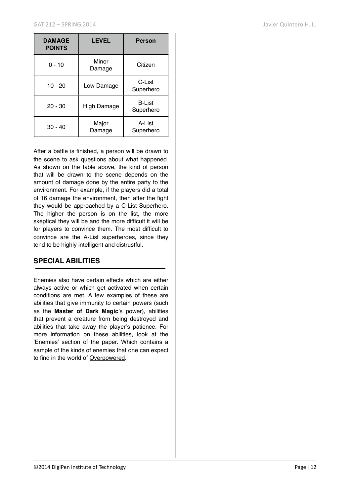| <b>DAMAGE</b><br><b>POINTS</b> | <b>LEVEL</b>       | <b>Person</b>              |
|--------------------------------|--------------------|----------------------------|
| $0 - 10$                       | Minor<br>Damage    | Citizen                    |
| $10 - 20$                      | Low Damage         | C-List<br>Superhero        |
| $20 - 30$                      | <b>High Damage</b> | <b>B-List</b><br>Superhero |
| $30 - 40$                      | Major<br>Damage    | A-List<br>Superhero        |

After a battle is finished, a person will be drawn to the scene to ask questions about what happened. As shown on the table above, the kind of person that will be drawn to the scene depends on the amount of damage done by the entire party to the environment. For example, if the players did a total of 16 damage the environment, then after the fight they would be approached by a C-List Superhero. The higher the person is on the list, the more skeptical they will be and the more difficult it will be for players to convince them. The most difficult to convince are the A-List superheroes, since they tend to be highly intelligent and distrustful.

#### **SPECIAL ABILITIES**

Enemies also have certain effects which are either always active or which get activated when certain conditions are met. A few examples of these are abilities that give immunity to certain powers (such as the **Master of Dark Magic**'s power), abilities that prevent a creature from being destroyed and abilities that take away the player's patience. For more information on these abilities, look at the 'Enemies' section of the paper. Which contains a sample of the kinds of enemies that one can expect to find in the world of Overpowered.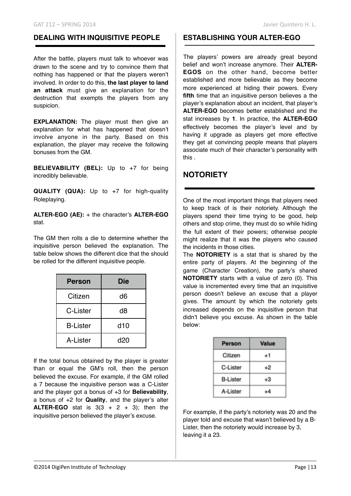## **DEALING WITH INQUISITIVE PEOPLE**

After the battle, players must talk to whoever was drawn to the scene and try to convince them that nothing has happened or that the players weren't involved. In order to do this, **the last player to land an attack** must give an explanation for the destruction that exempts the players from any suspicion.

**EXPLANATION:** The player must then give an explanation for what has happened that doesn't involve anyone in the party. Based on this explanation, the player may receive the following bonuses from the GM.

**BELIEVABILITY (BEL):** Up to +7 for being incredibly believable.

**QUALITY (QUA):** Up to +7 for high-quality Roleplaying.

**ALTER-EGO (AE):** + the character's **ALTER-EGO** stat.

The GM then rolls a die to determine whether the inquisitive person believed the explanation. The table below shows the different dice that the should be rolled for the different inquisitive people.

| <b>Person</b>   | <b>Die</b>      |
|-----------------|-----------------|
| Citizen         | d6              |
| C-Lister        | d8              |
| <b>B-Lister</b> | d <sub>10</sub> |
| A-Lister        | d20             |

If the total bonus obtained by the player is greater than or equal the GM's roll, then the person believed the excuse. For example, if the GM rolled a 7 because the inquisitive person was a C-Lister and the player got a bonus of +3 for **Believability**, a bonus of +2 for **Quality**, and the player's alter **ALTER-EGO** stat is  $3(3 + 2 + 3)$ ; then the inquisitive person believed the player's excuse.

#### **ESTABLISHING YOUR ALTER-EGO**

The players' powers are already great beyond belief and won't increase anymore. Their **ALTER-EGOS** on the other hand, become better established and more believable as they become more experienced at hiding their powers. Every **fifth** time that an inquisitive person believes a the player's explanation about an incident, that player's **ALTER-EGO** becomes better established and the stat increases by **1**. In practice, the **ALTER-EGO**  effectively becomes the player's level and by having it upgrade as players get more effective they get at convincing people means that players associate much of their character's personality with this .

## **NOTORIETY**

One of the most important things that players need to keep track of is their notoriety. Although the players spend their time trying to be good, help others and stop crime, they must do so while hiding the full extent of their powers; otherwise people might realize that it was the players who caused the incidents in those cities.

The **NOTORIETY** is a stat that is shared by the entire party of players. At the beginning of the game (Character Creation), the party's shared **NOTORIETY** starts with a value of zero (0). This value is incremented every time that an inquisitive person doesn't believe an excuse that a player gives. The amount by which the notoriety gets increased depends on the inquisitive person that didn't believe you excuse. As shown in the table below:

| Person          | Value |
|-----------------|-------|
| Citizen         | +1    |
| C-Lister        | +2    |
| <b>B-Lister</b> |       |
| A-Lister        |       |

For example, if the party's notoriety was 20 and the player told and excuse that wasn't believed by a B-Lister, then the notoriety would increase by 3, leaving it a 23.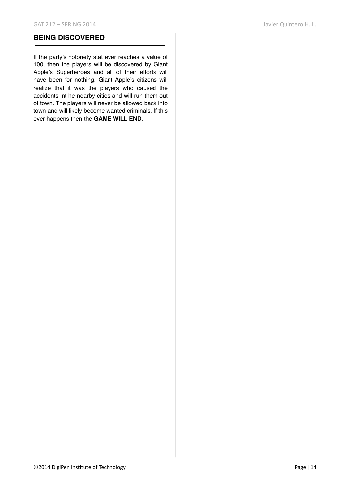#### **BEING DISCOVERED**

If the party's notoriety stat ever reaches a value of 100, then the players will be discovered by Giant Apple's Superheroes and all of their efforts will have been for nothing. Giant Apple's citizens will realize that it was the players who caused the accidents int he nearby cities and will run them out of town. The players will never be allowed back into town and will likely become wanted criminals. If this ever happens then the **GAME WILL END**.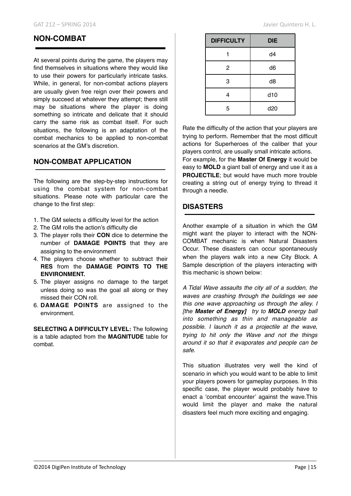## **NON-COMBAT**

At several points during the game, the players may find themselves in situations where they would like to use their powers for particularly intricate tasks. While, in general, for non-combat actions players are usually given free reign over their powers and simply succeed at whatever they attempt; there still may be situations where the player is doing something so intricate and delicate that it should carry the same risk as combat itself. For such situations, the following is an adaptation of the combat mechanics to be applied to non-combat scenarios at the GM's discretion.

#### **NON-COMBAT APPLICATION**

The following are the step-by-step instructions for using the combat system for non-combat situations. Please note with particular care the change to the first step:

- 1. The GM selects a difficulty level for the action
- 2. The GM rolls the action's difficulty die
- 3. The player rolls their **CON** dice to determine the number of **DAMAGE POINTS** that they are assigning to the environment
- 4. The players choose whether to subtract their **RES** from the **DAMAGE POINTS TO THE ENVIRONMENT.**
- 5. The player assigns no damage to the target unless doing so was the goal all along or they missed their CON roll.
- 6. **DAMAGE POINTS** are assigned to the environment.

**SELECTING A DIFFICULTY LEVEL:** The following is a table adapted from the **MAGNITUDE** table for combat.

| <b>DIFFICULTY</b> | <b>DIE</b>      |
|-------------------|-----------------|
|                   | d4              |
| $\mathbf{2}$      | d6              |
| 3                 | d <sub>8</sub>  |
| 4                 | d10             |
| 5                 | d <sub>20</sub> |

Rate the difficulty of the action that your players are trying to perform. Remember that the most difficult actions for Superheroes of the caliber that your players control, are usually small intricate actions.

For example, for the **Master Of Energy** it would be easy to **MOLD** a giant ball of energy and use it as a **PROJECTILE**; but would have much more trouble creating a string out of energy trying to thread it through a needle.

#### **DISASTERS**

Another example of a situation in which the GM might want the player to interact with the NON-COMBAT mechanic is when Natural Disasters Occur. These disasters can occur spontaneously when the players walk into a new City Block. A Sample description of the players interacting with this mechanic is shown below:

*A Tidal Wave assaults the city all of a sudden, the waves are crashing through the buildings we see this one wave approaching us through the alley. I [the Master of Energy] try to MOLD energy ball into something as thin and manageable as possible. I launch it as a projectile at the wave, trying to hit only the Wave and not the things around it so that it evaporates and people can be safe.* 

This situation illustrates very well the kind of scenario in which you would want to be able to limit your players powers for gameplay purposes. In this specific case, the player would probably have to enact a 'combat encounter' against the wave.This would limit the player and make the natural disasters feel much more exciting and engaging.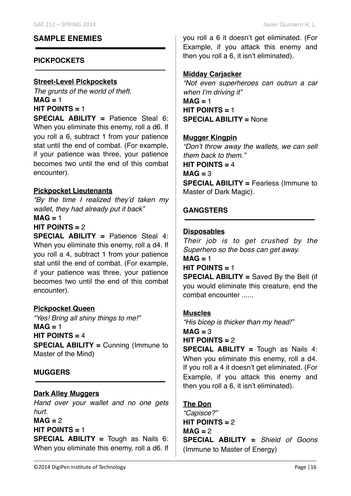## **SAMPLE ENEMIES**

## **PICKPOCKETS**

#### **Street-Level Pickpockets**

*The grunts of the world of theft.*  $MAG = 1$ **HIT POINTS =** 1

**SPECIAL ABILITY =** Patience Steal 6: When you eliminate this enemy, roll a d6. If you roll a 6, subtract 1 from your patience stat until the end of combat. (For example, if your patience was three, your patience becomes two until the end of this combat encounter).

## **Pickpocket Lieutenants**

*"By the time I realized they'd taken my wallet, they had already put it back"*  $MAG = 1$ 

## **HIT POINTS =** 2

**SPECIAL ABILITY =** Patience Steal 4: When you eliminate this enemy, roll a d4. If you roll a 4, subtract 1 from your patience stat until the end of combat. (For example, if your patience was three, your patience becomes two until the end of this combat encounter).

## **Pickpocket Queen**

*"Yes! Bring all shiny things to me!"*  $MAG = 1$ **HIT POINTS =** 4 **SPECIAL ABILITY =** Cunning (Immune to Master of the Mind)

## **MUGGERS**

## **Dark Alley Muggers**

*Hand over your wallet and no one gets hurt.*  $MAG = 2$ **HIT POINTS =** 1 **SPECIAL ABILITY =** Tough as Nails 6: When you eliminate this enemy, roll a d6. If you roll a 6 it doesn't get eliminated. (For Example, if you attack this enemy and then you roll a 6, it isn't eliminated).

## **Midday Carjacker**

*"Not even superheroes can outrun a car when I'm driving it"*  $MAG = 1$ **HIT POINTS =** 1 **SPECIAL ABILITY =** None

#### **Mugger Kingpin**

*"Don't throw away the wallets, we can sell them back to them."*

**HIT POINTS =** 4

 $MAG = 3$ 

**SPECIAL ABILITY =** Fearless (Immune to Master of Dark Magic).

## **GANGSTERS**

## **Disposables**

*Their job is to get crushed by the Superhero so the boss can get away.*  $MAG = 1$ **HIT POINTS =** 1 **SPECIAL ABILITY =** Saved By the Bell (if you would eliminate this creature, end the

## **Muscles**

*"His bicep is thicker than my head!"*  $MAG = 3$ 

**HIT POINTS =** 2

combat encounter ......

**SPECIAL ABILITY =** Tough as Nails 4: When you eliminate this enemy, roll a d4. If you roll a 4 it doesn't get eliminated. (For Example, if you attack this enemy and then you roll a 6, it isn't eliminated).

## **The Don**

*"Capisce?"* **HIT POINTS =** 2  $MAG = 2$ **SPECIAL ABILITY =** *Shield of Goons* (Immune to Master of Energy)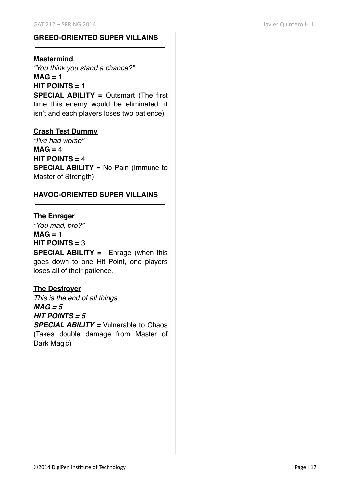#### **GREED-ORIENTED SUPER VILLAINS**

#### **Mastermind**

*"You think you stand a chance?"* **MAG = 1 HIT POINTS = 1 SPECIAL ABILITY =** Outsmart (The first time this enemy would be eliminated, it isn't and each players loses two patience)

#### **Crash Test Dummy**

*"I've had worse"*  $MAG = 4$ **HIT POINTS =** 4 **SPECIAL ABILITY** = No Pain (Immune to Master of Strength)

#### **HAVOC-ORIENTED SUPER VILLAINS**

#### **The Enrager**

*"You mad, bro?"* **MAG =** 1 **HIT POINTS =** 3

**SPECIAL ABILITY =** Enrage (when this goes down to one Hit Point, one players loses all of their patience.

## **The Destroyer**

*This is the end of all things MAG = 5 HIT POINTS = 5 SPECIAL ABILITY =* Vulnerable to Chaos

(Takes double damage from Master of Dark Magic)